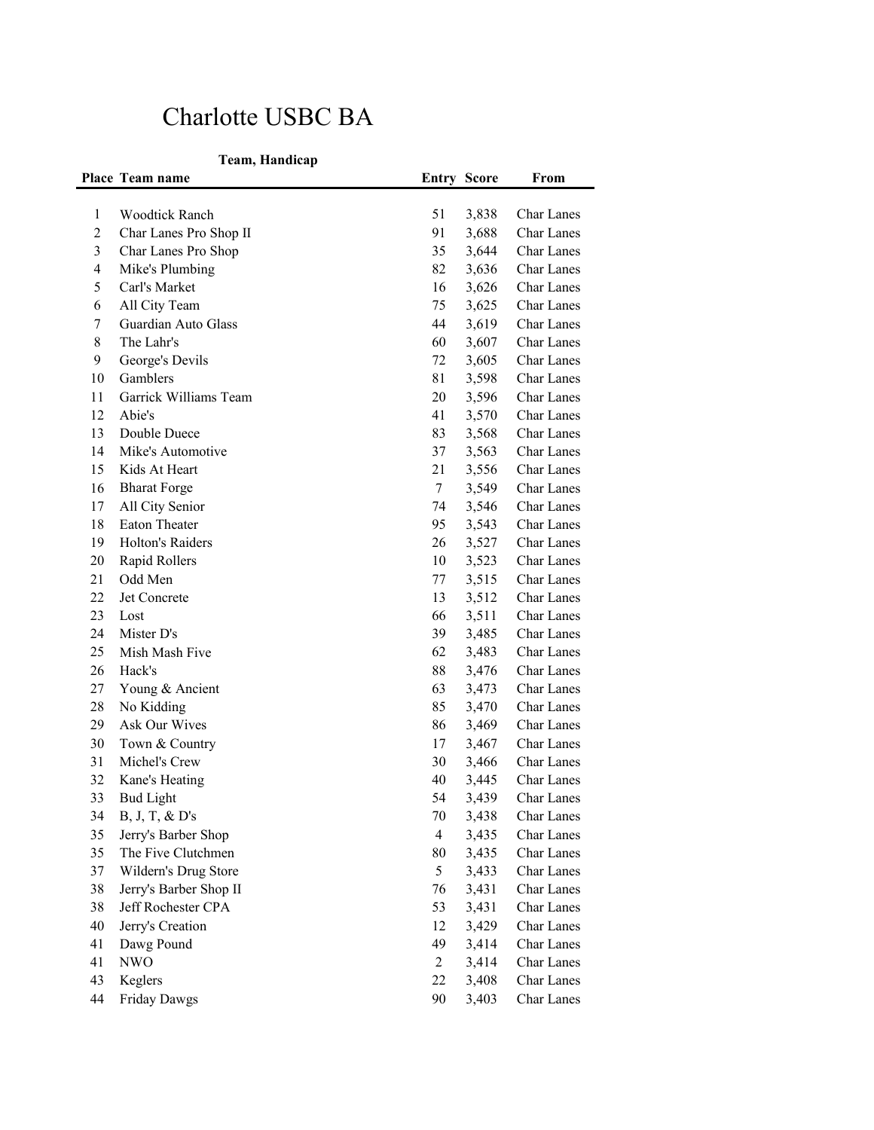## Charlotte USBC BA

## **Team, Handicap**

|              | Place Team name        | <b>Entry Score</b> |       | From              |
|--------------|------------------------|--------------------|-------|-------------------|
|              |                        |                    |       |                   |
| $\mathbf{1}$ | <b>Woodtick Ranch</b>  | 51                 | 3,838 | Char Lanes        |
| 2            | Char Lanes Pro Shop II | 91                 | 3,688 | <b>Char Lanes</b> |
| 3            | Char Lanes Pro Shop    | 35                 | 3,644 | Char Lanes        |
| 4            | Mike's Plumbing        | 82                 | 3,636 | Char Lanes        |
| 5            | Carl's Market          | 16                 | 3,626 | Char Lanes        |
| 6            | All City Team          | 75                 | 3,625 | Char Lanes        |
| 7            | Guardian Auto Glass    | 44                 | 3,619 | Char Lanes        |
| 8            | The Lahr's             | 60                 | 3,607 | Char Lanes        |
| 9            | George's Devils        | 72                 | 3,605 | Char Lanes        |
| 10           | Gamblers               | 81                 | 3,598 | <b>Char Lanes</b> |
| 11           | Garrick Williams Team  | 20                 | 3,596 | Char Lanes        |
| 12           | Abie's                 | 41                 | 3,570 | Char Lanes        |
| 13           | Double Duece           | 83                 | 3,568 | Char Lanes        |
| 14           | Mike's Automotive      | 37                 | 3,563 | <b>Char Lanes</b> |
| 15           | Kids At Heart          | 21                 | 3,556 | <b>Char Lanes</b> |
| 16           | <b>Bharat Forge</b>    | 7                  | 3,549 | <b>Char Lanes</b> |
| 17           | All City Senior        | 74                 | 3,546 | <b>Char Lanes</b> |
| 18           | Eaton Theater          | 95                 | 3,543 | <b>Char Lanes</b> |
| 19           | Holton's Raiders       | 26                 | 3,527 | Char Lanes        |
| 20           | Rapid Rollers          | 10                 | 3,523 | Char Lanes        |
| 21           | Odd Men                | 77                 | 3,515 | Char Lanes        |
| 22           | Jet Concrete           | 13                 | 3,512 | <b>Char Lanes</b> |
| 23           | Lost                   | 66                 | 3,511 | Char Lanes        |
| 24           | Mister D's             | 39                 | 3,485 | Char Lanes        |
| 25           | Mish Mash Five         | 62                 | 3,483 | Char Lanes        |
| 26           | Hack's                 | 88                 | 3,476 | Char Lanes        |
| 27           | Young & Ancient        | 63                 | 3,473 | Char Lanes        |
| 28           | No Kidding             | 85                 | 3,470 | Char Lanes        |
| 29           | Ask Our Wives          | 86                 | 3,469 | <b>Char Lanes</b> |
| 30           | Town & Country         | 17                 | 3,467 | <b>Char Lanes</b> |
| 31           | Michel's Crew          | 30                 | 3,466 | <b>Char Lanes</b> |
| 32           | Kane's Heating         | 40                 | 3,445 | Char Lanes        |
| 33           | <b>Bud Light</b>       | 54                 | 3,439 | Char Lanes        |
| 34           | $B, J, T, \& D's$      | 70                 | 3,438 | Char Lanes        |
| 35           | Jerry's Barber Shop    | 4                  | 3,435 | Char Lanes        |
| 35           | The Five Clutchmen     | 80                 | 3,435 | Char Lanes        |
| 37           | Wildern's Drug Store   | 5                  | 3,433 | Char Lanes        |
| 38           | Jerry's Barber Shop II | 76                 | 3,431 | Char Lanes        |
| 38           | Jeff Rochester CPA     | 53                 | 3,431 | Char Lanes        |
| 40           | Jerry's Creation       | 12                 | 3,429 | Char Lanes        |
| 41           | Dawg Pound             | 49                 | 3,414 | Char Lanes        |
| 41           | <b>NWO</b>             | 2                  | 3,414 | Char Lanes        |
| 43           | Keglers                | 22                 | 3,408 | Char Lanes        |
| 44           | <b>Friday Dawgs</b>    | 90                 | 3,403 | Char Lanes        |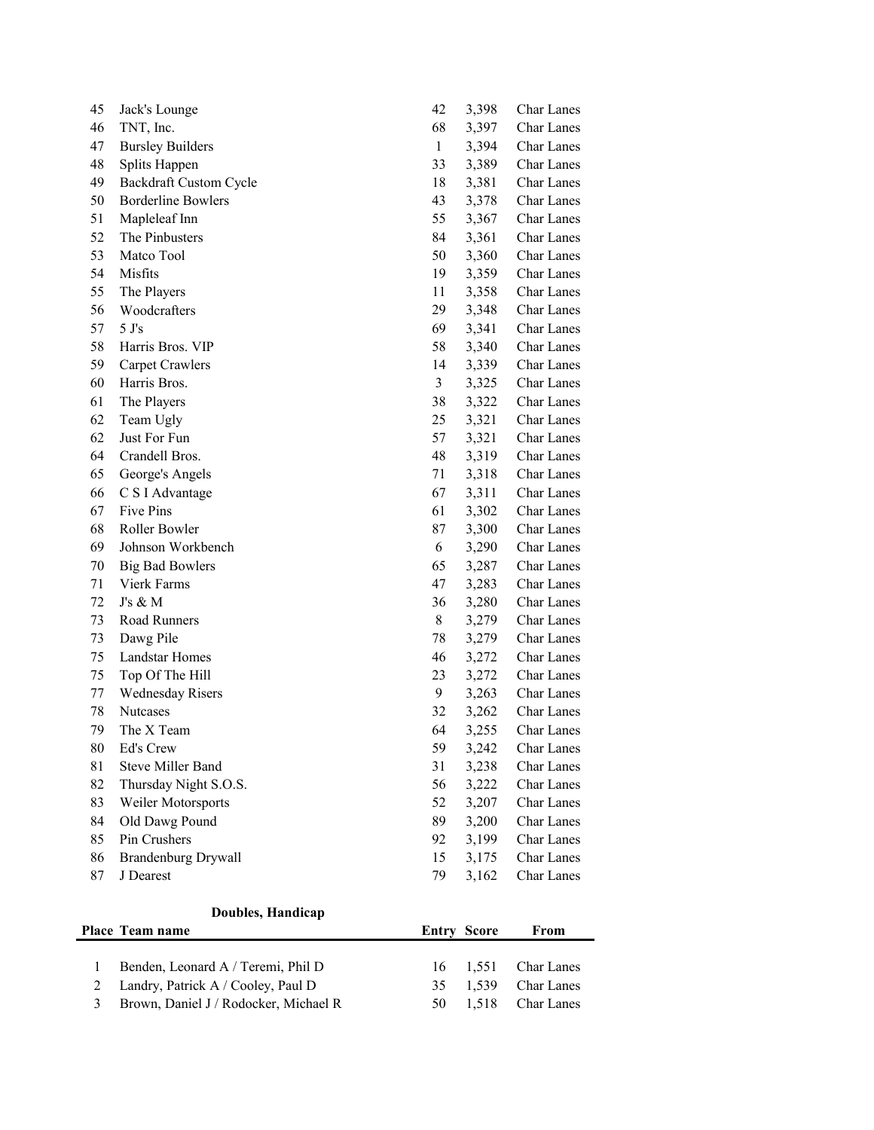| 45                      | Jack's Lounge                         | 42                 | 3,398 | Char Lanes        |
|-------------------------|---------------------------------------|--------------------|-------|-------------------|
| 46                      | TNT, Inc.                             | 68                 | 3,397 | Char Lanes        |
| 47                      | <b>Bursley Builders</b>               | $\mathbf{1}$       | 3,394 | Char Lanes        |
| 48                      | Splits Happen                         | 33                 | 3,389 | Char Lanes        |
| 49                      | <b>Backdraft Custom Cycle</b>         | 18                 | 3,381 | Char Lanes        |
| 50                      | <b>Borderline Bowlers</b>             | 43                 | 3,378 | Char Lanes        |
| 51                      | Mapleleaf Inn                         | 55                 | 3,367 | Char Lanes        |
| 52                      | The Pinbusters                        | 84                 | 3,361 | Char Lanes        |
| 53                      | Matco Tool                            | 50                 | 3,360 | Char Lanes        |
| 54                      | Misfits                               | 19                 | 3,359 | Char Lanes        |
| 55                      | The Players                           | 11                 | 3,358 | Char Lanes        |
| 56                      | Woodcrafters                          | 29                 | 3,348 | Char Lanes        |
| 57                      | 5 J's                                 | 69                 | 3,341 | Char Lanes        |
| 58                      | Harris Bros. VIP                      | 58                 | 3,340 | Char Lanes        |
| 59                      | Carpet Crawlers                       | 14                 | 3,339 | Char Lanes        |
| 60                      | Harris Bros.                          | 3                  | 3,325 | Char Lanes        |
| 61                      | The Players                           | 38                 | 3,322 | Char Lanes        |
| 62                      | Team Ugly                             | 25                 | 3,321 | Char Lanes        |
| 62                      | Just For Fun                          | 57                 | 3,321 | Char Lanes        |
| 64                      | Crandell Bros.                        | 48                 | 3,319 | <b>Char Lanes</b> |
| 65                      | George's Angels                       | 71                 | 3,318 | Char Lanes        |
| 66                      | C S I Advantage                       | 67                 | 3,311 | Char Lanes        |
| 67                      | Five Pins                             | 61                 | 3,302 | Char Lanes        |
| 68                      | Roller Bowler                         | 87                 | 3,300 | Char Lanes        |
| 69                      | Johnson Workbench                     | 6                  | 3,290 | Char Lanes        |
| 70                      | <b>Big Bad Bowlers</b>                | 65                 | 3,287 | Char Lanes        |
| 71                      | Vierk Farms                           | 47                 | 3,283 | Char Lanes        |
| 72                      | J's & M                               | 36                 | 3,280 | Char Lanes        |
| 73                      | Road Runners                          | 8                  | 3,279 | Char Lanes        |
| 73                      | Dawg Pile                             | 78                 | 3,279 | Char Lanes        |
| 75                      | Landstar Homes                        | 46                 | 3,272 | Char Lanes        |
| 75                      | Top Of The Hill                       | 23                 | 3,272 | Char Lanes        |
| 77                      | <b>Wednesday Risers</b>               | 9                  | 3,263 | Char Lanes        |
| 78                      | Nutcases                              | 32                 | 3,262 | Char Lanes        |
| 79                      | The X Team                            | 64                 | 3,255 | Char Lanes        |
| 80                      | Ed's Crew                             | 59                 | 3,242 | Char Lanes        |
| 81                      | <b>Steve Miller Band</b>              | 31                 | 3,238 | Char Lanes        |
| 82                      | Thursday Night S.O.S.                 | 56                 | 3,222 | Char Lanes        |
| 83                      | Weiler Motorsports                    | 52                 | 3,207 | Char Lanes        |
| 84                      | Old Dawg Pound                        | 89                 | 3,200 | Char Lanes        |
| 85                      | Pin Crushers                          | 92                 | 3,199 | Char Lanes        |
| 86                      | <b>Brandenburg Drywall</b>            | 15                 | 3,175 | Char Lanes        |
| 87                      | J Dearest                             | 79                 | 3,162 | Char Lanes        |
|                         |                                       |                    |       |                   |
|                         | Doubles, Handicap                     |                    |       |                   |
|                         | Place Team name                       | <b>Entry Score</b> |       | From              |
|                         |                                       |                    |       |                   |
| $\mathbf{1}$            | Benden, Leonard A / Teremi, Phil D    | 16                 | 1,551 | Char Lanes        |
| $\overline{c}$          | Landry, Patrick A / Cooley, Paul D    | 35                 | 1,539 | Char Lanes        |
| $\overline{\mathbf{3}}$ | Brown, Daniel J / Rodocker, Michael R | 50                 | 1,518 | Char Lanes        |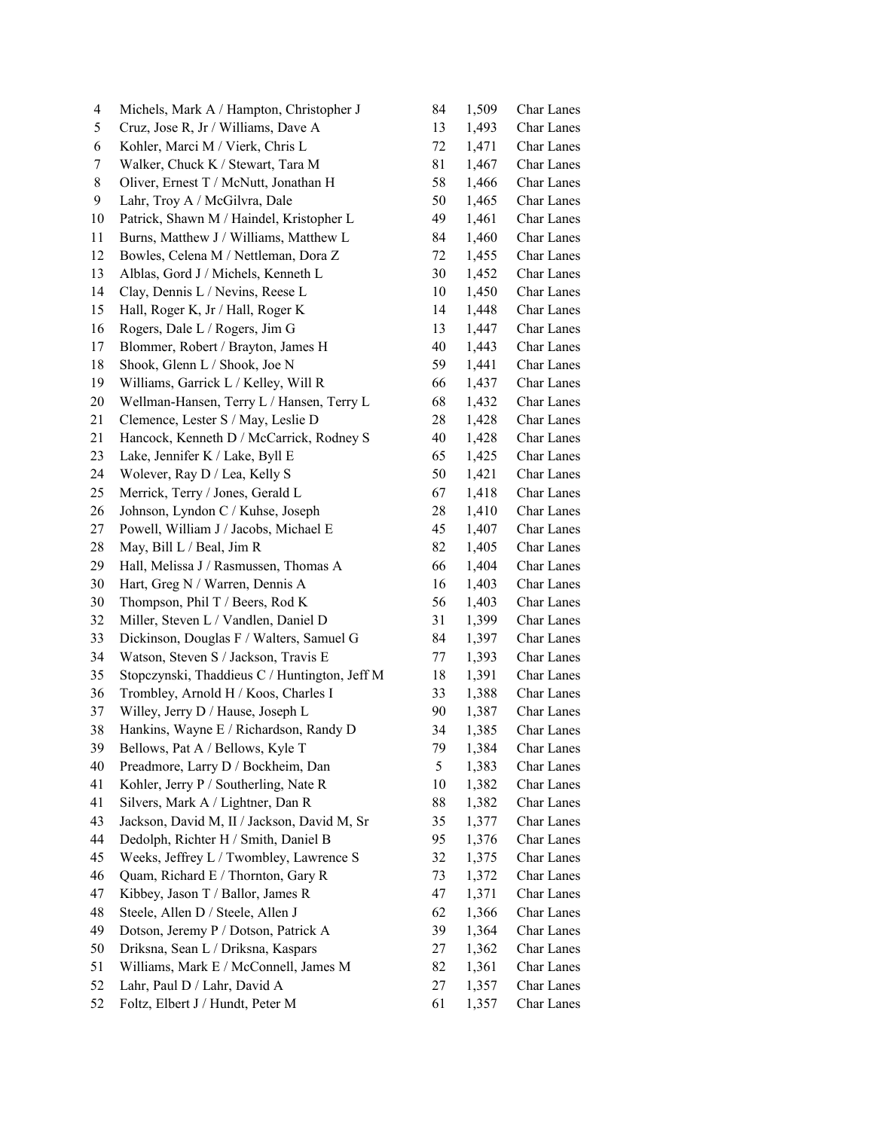| 4  | Michels, Mark A / Hampton, Christopher J      | 84 | 1,509 | Char Lanes        |
|----|-----------------------------------------------|----|-------|-------------------|
| 5  | Cruz, Jose R, Jr / Williams, Dave A           | 13 | 1,493 | Char Lanes        |
| 6  | Kohler, Marci M / Vierk, Chris L              | 72 | 1,471 | Char Lanes        |
| 7  | Walker, Chuck K / Stewart, Tara M             | 81 | 1,467 | Char Lanes        |
| 8  | Oliver, Ernest T / McNutt, Jonathan H         | 58 | 1,466 | Char Lanes        |
| 9  | Lahr, Troy A / McGilvra, Dale                 | 50 | 1,465 | Char Lanes        |
| 10 | Patrick, Shawn M / Haindel, Kristopher L      | 49 | 1,461 | Char Lanes        |
| 11 | Burns, Matthew J / Williams, Matthew L        | 84 | 1,460 | Char Lanes        |
| 12 | Bowles, Celena M / Nettleman, Dora Z          | 72 | 1,455 | Char Lanes        |
| 13 | Alblas, Gord J / Michels, Kenneth L           | 30 | 1,452 | <b>Char Lanes</b> |
| 14 | Clay, Dennis L / Nevins, Reese L              | 10 | 1,450 | Char Lanes        |
| 15 | Hall, Roger K, Jr / Hall, Roger K             | 14 | 1,448 | Char Lanes        |
| 16 | Rogers, Dale L / Rogers, Jim G                | 13 | 1,447 | Char Lanes        |
| 17 | Blommer, Robert / Brayton, James H            | 40 | 1,443 | Char Lanes        |
| 18 | Shook, Glenn L / Shook, Joe N                 | 59 | 1,441 | Char Lanes        |
| 19 | Williams, Garrick L / Kelley, Will R          | 66 | 1,437 | Char Lanes        |
| 20 | Wellman-Hansen, Terry L / Hansen, Terry L     | 68 | 1,432 | Char Lanes        |
| 21 | Clemence, Lester S / May, Leslie D            | 28 | 1,428 | Char Lanes        |
| 21 | Hancock, Kenneth D / McCarrick, Rodney S      | 40 | 1,428 | Char Lanes        |
| 23 | Lake, Jennifer K / Lake, Byll E               | 65 | 1,425 | Char Lanes        |
| 24 | Wolever, Ray D / Lea, Kelly S                 | 50 | 1,421 | Char Lanes        |
| 25 | Merrick, Terry / Jones, Gerald L              | 67 | 1,418 | Char Lanes        |
| 26 | Johnson, Lyndon C / Kuhse, Joseph             | 28 |       | Char Lanes        |
|    |                                               |    | 1,410 |                   |
| 27 | Powell, William J / Jacobs, Michael E         | 45 | 1,407 | Char Lanes        |
| 28 | May, Bill L / Beal, Jim R                     | 82 | 1,405 | Char Lanes        |
| 29 | Hall, Melissa J / Rasmussen, Thomas A         | 66 | 1,404 | Char Lanes        |
| 30 | Hart, Greg N / Warren, Dennis A               | 16 | 1,403 | Char Lanes        |
| 30 | Thompson, Phil T / Beers, Rod K               | 56 | 1,403 | Char Lanes        |
| 32 | Miller, Steven L / Vandlen, Daniel D          | 31 | 1,399 | <b>Char Lanes</b> |
| 33 | Dickinson, Douglas F / Walters, Samuel G      | 84 | 1,397 | Char Lanes        |
| 34 | Watson, Steven S / Jackson, Travis E          | 77 | 1,393 | Char Lanes        |
| 35 | Stopczynski, Thaddieus C / Huntington, Jeff M | 18 | 1,391 | Char Lanes        |
| 36 | Trombley, Arnold H / Koos, Charles I          | 33 | 1,388 | <b>Char Lanes</b> |
| 37 | Willey, Jerry D / Hause, Joseph L             | 90 | 1,387 | Char Lanes        |
| 38 | Hankins, Wayne E / Richardson, Randy D        | 34 | 1,385 | Char Lanes        |
| 39 | Bellows, Pat A / Bellows, Kyle T              | 79 | 1,384 | Char Lanes        |
| 40 | Preadmore, Larry D / Bockheim, Dan            | 5  | 1,383 | Char Lanes        |
| 41 | Kohler, Jerry P / Southerling, Nate R         | 10 | 1,382 | Char Lanes        |
| 41 | Silvers, Mark A / Lightner, Dan R             | 88 | 1,382 | Char Lanes        |
| 43 | Jackson, David M, II / Jackson, David M, Sr   | 35 | 1,377 | Char Lanes        |
| 44 | Dedolph, Richter H / Smith, Daniel B          | 95 | 1,376 | Char Lanes        |
| 45 | Weeks, Jeffrey L / Twombley, Lawrence S       | 32 | 1,375 | Char Lanes        |
| 46 | Quam, Richard E / Thornton, Gary R            | 73 | 1,372 | Char Lanes        |
| 47 | Kibbey, Jason T / Ballor, James R             | 47 | 1,371 | Char Lanes        |
| 48 | Steele, Allen D / Steele, Allen J             | 62 | 1,366 | Char Lanes        |
| 49 | Dotson, Jeremy P / Dotson, Patrick A          | 39 | 1,364 | Char Lanes        |
| 50 | Driksna, Sean L / Driksna, Kaspars            | 27 | 1,362 | Char Lanes        |
| 51 | Williams, Mark E / McConnell, James M         | 82 | 1,361 | Char Lanes        |
| 52 | Lahr, Paul D / Lahr, David A                  | 27 | 1,357 | Char Lanes        |
| 52 | Foltz, Elbert J / Hundt, Peter M              | 61 | 1,357 | Char Lanes        |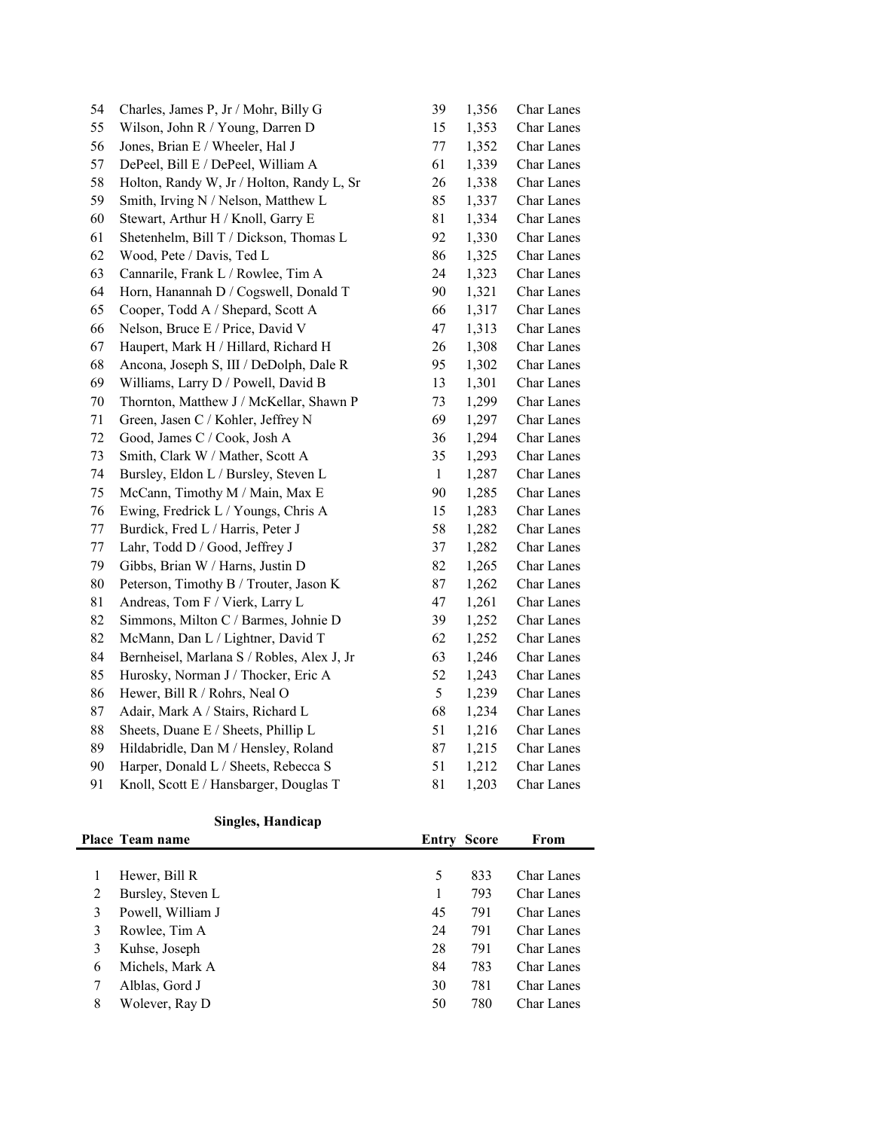| 54     | Charles, James P, Jr / Mohr, Billy G       | 39           | 1,356 | Char Lanes        |
|--------|--------------------------------------------|--------------|-------|-------------------|
| 55     | Wilson, John R / Young, Darren D           | 15           | 1,353 | Char Lanes        |
| 56     | Jones, Brian E / Wheeler, Hal J            | 77           | 1,352 | Char Lanes        |
| 57     | DePeel, Bill E / DePeel, William A         | 61           | 1,339 | Char Lanes        |
| 58     | Holton, Randy W, Jr / Holton, Randy L, Sr  | 26           | 1,338 | Char Lanes        |
| 59     | Smith, Irving N / Nelson, Matthew L        | 85           | 1,337 | Char Lanes        |
| 60     | Stewart, Arthur H / Knoll, Garry E         | 81           | 1,334 | <b>Char Lanes</b> |
| 61     | Shetenhelm, Bill T / Dickson, Thomas L     | 92           | 1,330 | Char Lanes        |
| 62     | Wood, Pete / Davis, Ted L                  | 86           | 1,325 | <b>Char Lanes</b> |
| 63     | Cannarile, Frank L / Rowlee, Tim A         | 24           | 1,323 | Char Lanes        |
| 64     | Horn, Hanannah D / Cogswell, Donald T      | 90           | 1,321 | Char Lanes        |
| 65     | Cooper, Todd A / Shepard, Scott A          | 66           | 1,317 | Char Lanes        |
| 66     | Nelson, Bruce E / Price, David V           | 47           | 1,313 | Char Lanes        |
| 67     | Haupert, Mark H / Hillard, Richard H       | 26           | 1,308 | Char Lanes        |
| 68     | Ancona, Joseph S, III / DeDolph, Dale R    | 95           | 1,302 | Char Lanes        |
| 69     | Williams, Larry D / Powell, David B        | 13           | 1,301 | Char Lanes        |
| $70\,$ | Thornton, Matthew J / McKellar, Shawn P    | 73           | 1,299 | Char Lanes        |
| 71     | Green, Jasen C / Kohler, Jeffrey N         | 69           | 1,297 | Char Lanes        |
| 72     | Good, James C / Cook, Josh A               | 36           | 1,294 | Char Lanes        |
| 73     | Smith, Clark W / Mather, Scott A           | 35           | 1,293 | <b>Char Lanes</b> |
| 74     | Bursley, Eldon L / Bursley, Steven L       | $\mathbf{1}$ | 1,287 | Char Lanes        |
| 75     | McCann, Timothy M / Main, Max E            | 90           | 1,285 | Char Lanes        |
| 76     | Ewing, Fredrick L / Youngs, Chris A        | 15           | 1,283 | Char Lanes        |
| 77     | Burdick, Fred L / Harris, Peter J          | 58           | 1,282 | Char Lanes        |
| 77     | Lahr, Todd D / Good, Jeffrey J             | 37           | 1,282 | Char Lanes        |
| 79     | Gibbs, Brian W / Harns, Justin D           | 82           | 1,265 | Char Lanes        |
| 80     | Peterson, Timothy B / Trouter, Jason K     | 87           | 1,262 | Char Lanes        |
| 81     | Andreas, Tom F / Vierk, Larry L            | 47           | 1,261 | Char Lanes        |
| 82     | Simmons, Milton C / Barmes, Johnie D       | 39           | 1,252 | <b>Char Lanes</b> |
| 82     | McMann, Dan L / Lightner, David T          | 62           | 1,252 | Char Lanes        |
| 84     | Bernheisel, Marlana S / Robles, Alex J, Jr | 63           | 1,246 | Char Lanes        |
| 85     | Hurosky, Norman J / Thocker, Eric A        | 52           | 1,243 | Char Lanes        |
| 86     | Hewer, Bill R / Rohrs, Neal O              | 5            | 1,239 | <b>Char Lanes</b> |
| 87     | Adair, Mark A / Stairs, Richard L          | 68           | 1,234 | Char Lanes        |
| 88     | Sheets, Duane E / Sheets, Phillip L        | 51           | 1,216 | Char Lanes        |
| 89     | Hildabridle, Dan M / Hensley, Roland       | 87           | 1,215 | <b>Char Lanes</b> |
| 90     | Harper, Donald L / Sheets, Rebecca S       | 51           | 1,212 | <b>Char Lanes</b> |
| 91     | Knoll, Scott E / Hansbarger, Douglas T     | 81           | 1,203 | <b>Char Lanes</b> |

## **Singles, Handicap**

|   | <b>Place Team name</b> | <b>Entry Score</b> |     | From              |
|---|------------------------|--------------------|-----|-------------------|
|   |                        |                    |     |                   |
|   | Hewer, Bill R          | 5                  | 833 | <b>Char Lanes</b> |
| 2 | Bursley, Steven L      | 1                  | 793 | <b>Char Lanes</b> |
| 3 | Powell, William J      | 45                 | 791 | <b>Char Lanes</b> |
| 3 | Rowlee, Tim A          | 24                 | 791 | <b>Char Lanes</b> |
| 3 | Kuhse, Joseph          | 28                 | 791 | <b>Char Lanes</b> |
| 6 | Michels, Mark A        | 84                 | 783 | <b>Char Lanes</b> |
| 7 | Alblas, Gord J         | 30                 | 781 | <b>Char Lanes</b> |
| 8 | Wolever, Ray D         | 50                 | 780 | <b>Char Lanes</b> |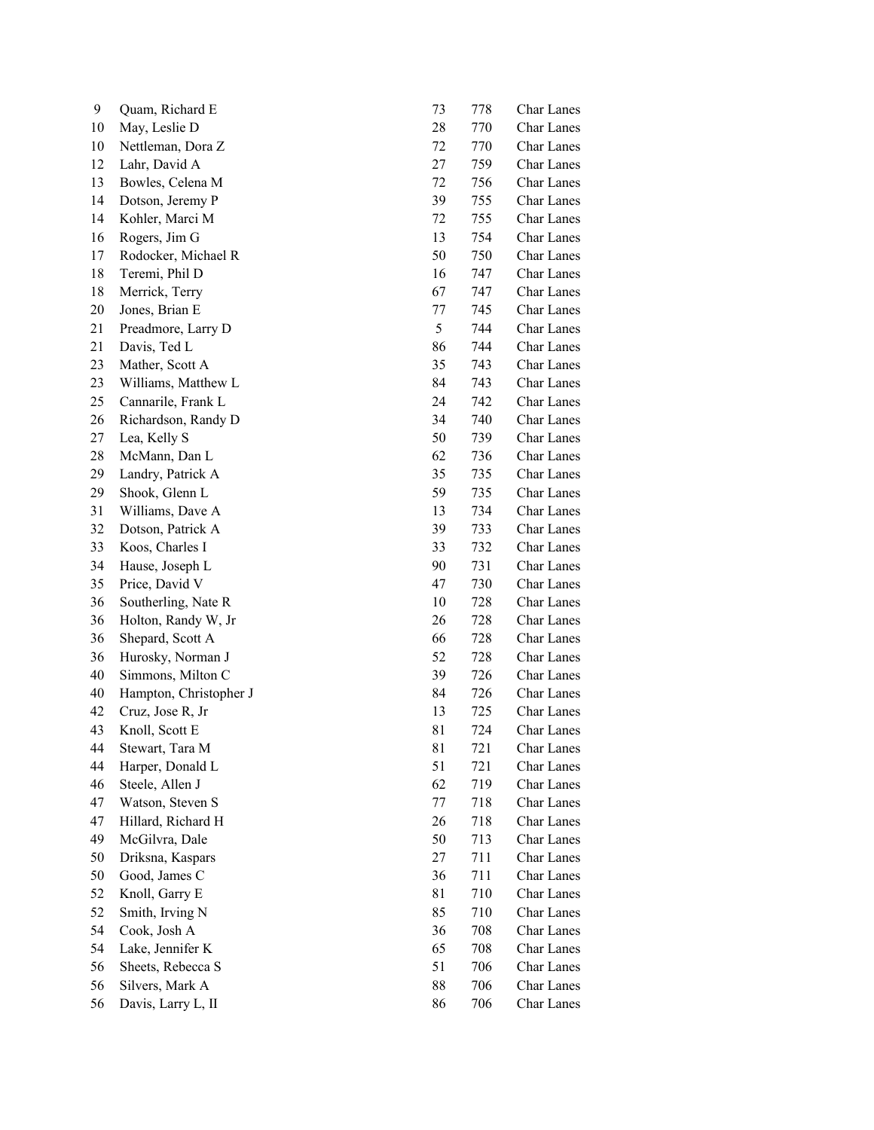| 9  | Quam, Richard E        | 73 | 778 | Char Lanes        |
|----|------------------------|----|-----|-------------------|
| 10 | May, Leslie D          | 28 | 770 | <b>Char Lanes</b> |
| 10 | Nettleman, Dora Z      | 72 | 770 | <b>Char Lanes</b> |
| 12 | Lahr, David A          | 27 | 759 | Char Lanes        |
| 13 | Bowles, Celena M       | 72 | 756 | <b>Char Lanes</b> |
| 14 | Dotson, Jeremy P       | 39 | 755 | Char Lanes        |
| 14 | Kohler, Marci M        | 72 | 755 | <b>Char Lanes</b> |
| 16 | Rogers, Jim G          | 13 | 754 | Char Lanes        |
| 17 | Rodocker, Michael R    | 50 | 750 | Char Lanes        |
| 18 | Teremi, Phil D         | 16 | 747 | <b>Char Lanes</b> |
| 18 | Merrick, Terry         | 67 | 747 | Char Lanes        |
| 20 | Jones, Brian E         | 77 | 745 | Char Lanes        |
| 21 | Preadmore, Larry D     | 5  | 744 | <b>Char Lanes</b> |
| 21 | Davis, Ted L           | 86 | 744 | <b>Char Lanes</b> |
| 23 | Mather, Scott A        | 35 | 743 | <b>Char Lanes</b> |
| 23 | Williams, Matthew L    | 84 | 743 | <b>Char Lanes</b> |
| 25 | Cannarile, Frank L     | 24 | 742 | <b>Char Lanes</b> |
| 26 | Richardson, Randy D    | 34 | 740 | <b>Char Lanes</b> |
| 27 | Lea, Kelly S           | 50 | 739 | <b>Char Lanes</b> |
| 28 | McMann, Dan L          | 62 | 736 | Char Lanes        |
| 29 | Landry, Patrick A      | 35 | 735 | Char Lanes        |
| 29 | Shook, Glenn L         | 59 | 735 | <b>Char Lanes</b> |
| 31 | Williams, Dave A       | 13 | 734 | <b>Char Lanes</b> |
| 32 | Dotson, Patrick A      | 39 | 733 | Char Lanes        |
| 33 | Koos, Charles I        | 33 | 732 | Char Lanes        |
| 34 | Hause, Joseph L        | 90 | 731 | <b>Char Lanes</b> |
| 35 | Price, David V         | 47 | 730 | Char Lanes        |
| 36 | Southerling, Nate R    | 10 | 728 | <b>Char Lanes</b> |
| 36 | Holton, Randy W, Jr    | 26 | 728 | Char Lanes        |
| 36 | Shepard, Scott A       | 66 | 728 | <b>Char Lanes</b> |
| 36 | Hurosky, Norman J      | 52 | 728 | Char Lanes        |
| 40 | Simmons, Milton C      | 39 | 726 | Char Lanes        |
| 40 | Hampton, Christopher J | 84 | 726 | <b>Char Lanes</b> |
| 42 | Cruz, Jose R, Jr       | 13 | 725 | <b>Char Lanes</b> |
| 43 | Knoll, Scott E         | 81 | 724 | <b>Char Lanes</b> |
| 44 | Stewart, Tara M        | 81 | 721 | Char Lanes        |
| 44 | Harper, Donald L       | 51 | 721 | <b>Char Lanes</b> |
| 46 | Steele, Allen J        | 62 | 719 | Char Lanes        |
| 47 | Watson, Steven S       | 77 | 718 | Char Lanes        |
| 47 | Hillard, Richard H     | 26 | 718 | Char Lanes        |
| 49 | McGilvra, Dale         | 50 | 713 | Char Lanes        |
| 50 | Driksna, Kaspars       | 27 | 711 | Char Lanes        |
| 50 | Good, James C          | 36 | 711 | <b>Char Lanes</b> |
| 52 | Knoll, Garry E         | 81 | 710 | Char Lanes        |
| 52 | Smith, Irving N        | 85 | 710 | Char Lanes        |
| 54 | Cook, Josh A           | 36 | 708 | Char Lanes        |
| 54 | Lake, Jennifer K       | 65 | 708 | Char Lanes        |
| 56 | Sheets, Rebecca S      | 51 | 706 | Char Lanes        |
| 56 | Silvers, Mark A        | 88 | 706 | Char Lanes        |
| 56 | Davis, Larry L, II     | 86 | 706 | Char Lanes        |
|    |                        |    |     |                   |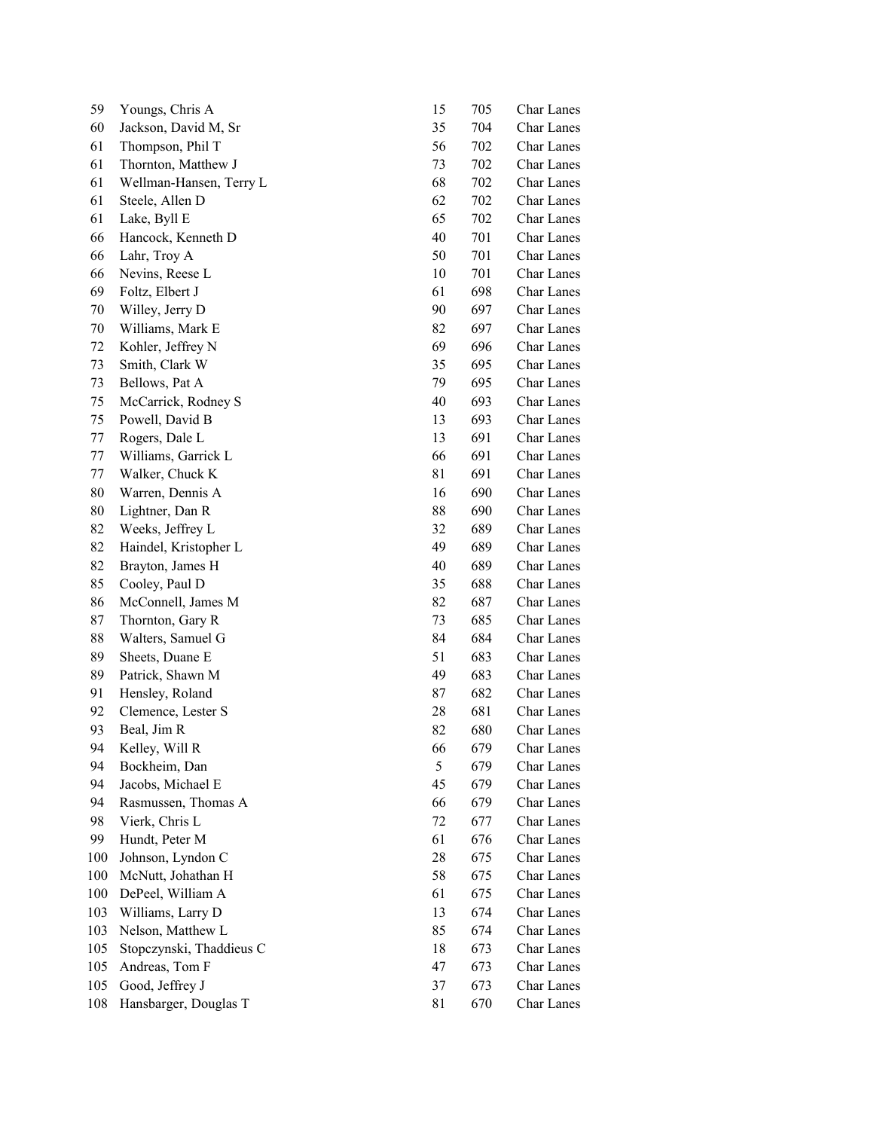| 59  | Youngs, Chris A          | 15 | 705 | Char Lanes        |
|-----|--------------------------|----|-----|-------------------|
| 60  | Jackson, David M, Sr     | 35 | 704 | Char Lanes        |
| 61  | Thompson, Phil T         | 56 | 702 | <b>Char Lanes</b> |
| 61  | Thornton, Matthew J      | 73 | 702 | Char Lanes        |
| 61  | Wellman-Hansen, Terry L  | 68 | 702 | <b>Char Lanes</b> |
| 61  | Steele, Allen D          | 62 | 702 | <b>Char Lanes</b> |
| 61  | Lake, Byll E             | 65 | 702 | <b>Char Lanes</b> |
| 66  | Hancock, Kenneth D       | 40 | 701 | Char Lanes        |
| 66  | Lahr, Troy A             | 50 | 701 | Char Lanes        |
| 66  | Nevins, Reese L          | 10 | 701 | <b>Char Lanes</b> |
| 69  | Foltz, Elbert J          | 61 | 698 | Char Lanes        |
| 70  | Willey, Jerry D          | 90 | 697 | <b>Char Lanes</b> |
| 70  | Williams, Mark E         | 82 | 697 | <b>Char Lanes</b> |
| 72  | Kohler, Jeffrey N        | 69 | 696 | <b>Char Lanes</b> |
| 73  | Smith, Clark W           | 35 | 695 | <b>Char Lanes</b> |
| 73  | Bellows, Pat A           | 79 | 695 | <b>Char Lanes</b> |
| 75  | McCarrick, Rodney S      | 40 | 693 | <b>Char Lanes</b> |
| 75  | Powell, David B          | 13 | 693 | <b>Char Lanes</b> |
| 77  | Rogers, Dale L           | 13 | 691 | <b>Char Lanes</b> |
| 77  | Williams, Garrick L      | 66 | 691 | <b>Char Lanes</b> |
| 77  | Walker, Chuck K          | 81 | 691 | <b>Char Lanes</b> |
| 80  | Warren, Dennis A         | 16 | 690 | <b>Char Lanes</b> |
| 80  | Lightner, Dan R          | 88 | 690 | <b>Char Lanes</b> |
| 82  | Weeks, Jeffrey L         | 32 | 689 | <b>Char Lanes</b> |
| 82  | Haindel, Kristopher L    | 49 | 689 | Char Lanes        |
| 82  | Brayton, James H         | 40 | 689 | Char Lanes        |
| 85  | Cooley, Paul D           | 35 | 688 | Char Lanes        |
| 86  | McConnell, James M       | 82 | 687 | <b>Char Lanes</b> |
| 87  | Thornton, Gary R         | 73 | 685 | Char Lanes        |
| 88  | Walters, Samuel G        | 84 | 684 | <b>Char Lanes</b> |
| 89  | Sheets, Duane E          | 51 | 683 | Char Lanes        |
| 89  | Patrick, Shawn M         | 49 | 683 | <b>Char Lanes</b> |
| 91  | Hensley, Roland          | 87 | 682 | <b>Char Lanes</b> |
| 92  | Clemence, Lester S       | 28 | 681 | <b>Char Lanes</b> |
| 93  | Beal, Jim R              | 82 | 680 | Char Lanes        |
| 94  | Kelley, Will R           | 66 | 679 | Char Lanes        |
| 94  | Bockheim, Dan            | 5  | 679 | Char Lanes        |
| 94  | Jacobs, Michael E        | 45 | 679 | Char Lanes        |
| 94  | Rasmussen, Thomas A      | 66 | 679 | Char Lanes        |
| 98  | Vierk, Chris L           | 72 | 677 | Char Lanes        |
| 99  | Hundt, Peter M           | 61 | 676 | Char Lanes        |
| 100 | Johnson, Lyndon C        | 28 | 675 | Char Lanes        |
| 100 | McNutt, Johathan H       | 58 | 675 | Char Lanes        |
| 100 | DePeel, William A        | 61 | 675 | Char Lanes        |
| 103 | Williams, Larry D        | 13 | 674 | Char Lanes        |
| 103 | Nelson, Matthew L        | 85 | 674 | Char Lanes        |
| 105 | Stopczynski, Thaddieus C | 18 | 673 | Char Lanes        |
| 105 | Andreas, Tom F           | 47 | 673 | Char Lanes        |
| 105 | Good, Jeffrey J          | 37 | 673 | Char Lanes        |
| 108 | Hansbarger, Douglas T    | 81 | 670 | Char Lanes        |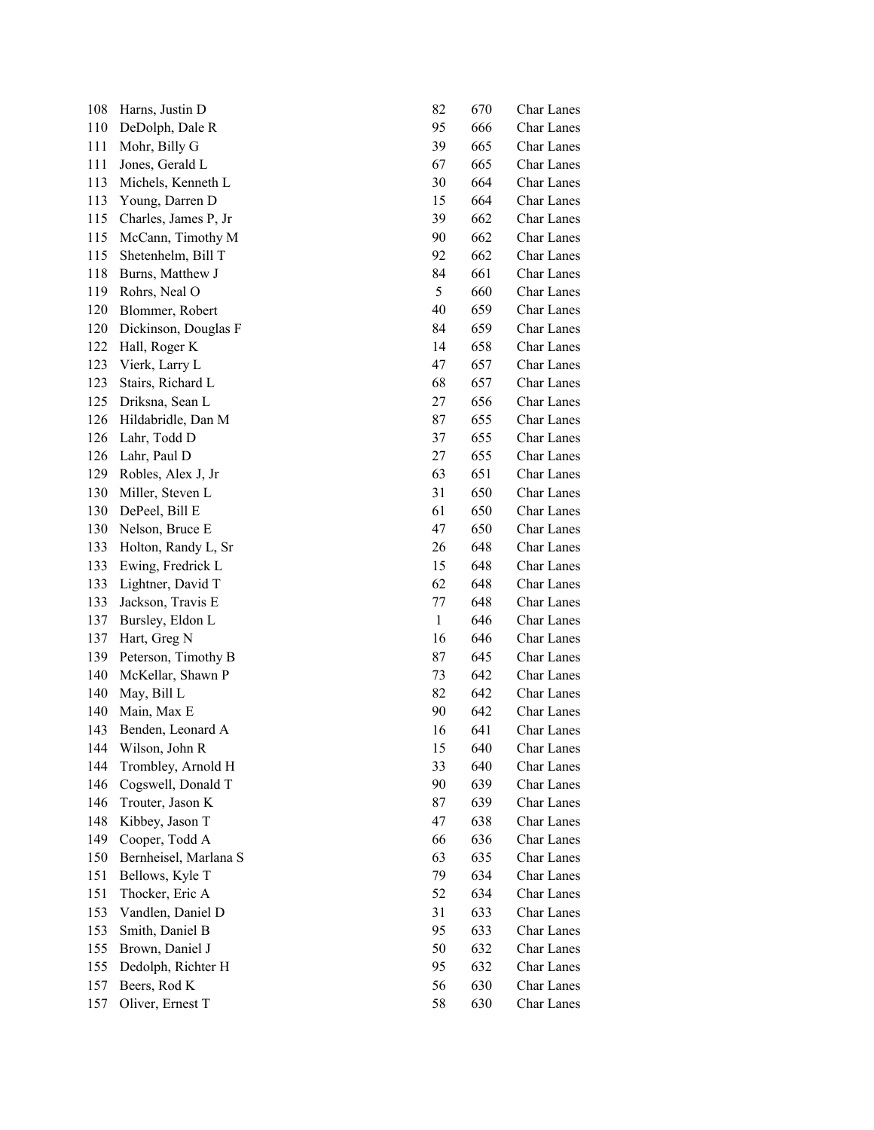| 108 | Harns, Justin D       | 82           | 670 | Char Lanes        |
|-----|-----------------------|--------------|-----|-------------------|
| 110 | DeDolph, Dale R       | 95           | 666 | Char Lanes        |
| 111 | Mohr, Billy G         | 39           | 665 | Char Lanes        |
| 111 | Jones, Gerald L       | 67           | 665 | <b>Char Lanes</b> |
| 113 | Michels, Kenneth L    | 30           | 664 | <b>Char Lanes</b> |
| 113 | Young, Darren D       | 15           | 664 | <b>Char Lanes</b> |
| 115 | Charles, James P, Jr  | 39           | 662 | <b>Char Lanes</b> |
| 115 | McCann, Timothy M     | 90           | 662 | Char Lanes        |
| 115 | Shetenhelm, Bill T    | 92           | 662 | Char Lanes        |
| 118 | Burns, Matthew J      | 84           | 661 | Char Lanes        |
| 119 | Rohrs, Neal O         | 5            | 660 | <b>Char Lanes</b> |
| 120 | Blommer, Robert       | 40           | 659 | <b>Char Lanes</b> |
| 120 | Dickinson, Douglas F  | 84           | 659 | <b>Char Lanes</b> |
| 122 | Hall, Roger K         | 14           | 658 | <b>Char Lanes</b> |
| 123 | Vierk, Larry L        | 47           | 657 | Char Lanes        |
| 123 | Stairs, Richard L     | 68           | 657 | <b>Char Lanes</b> |
| 125 | Driksna, Sean L       | 27           | 656 | Char Lanes        |
| 126 | Hildabridle, Dan M    | 87           | 655 | <b>Char Lanes</b> |
| 126 | Lahr, Todd D          | 37           | 655 | Char Lanes        |
| 126 | Lahr, Paul D          | 27           | 655 | <b>Char Lanes</b> |
| 129 | Robles, Alex J, Jr    | 63           | 651 | Char Lanes        |
| 130 | Miller, Steven L      | 31           | 650 | <b>Char Lanes</b> |
| 130 | DePeel, Bill E        | 61           | 650 | <b>Char Lanes</b> |
| 130 | Nelson, Bruce E       | 47           | 650 | Char Lanes        |
| 133 | Holton, Randy L, Sr   | 26           | 648 | Char Lanes        |
| 133 | Ewing, Fredrick L     | 15           | 648 | Char Lanes        |
| 133 | Lightner, David T     | 62           | 648 | <b>Char Lanes</b> |
| 133 | Jackson, Travis E     | 77           | 648 | <b>Char Lanes</b> |
| 137 | Bursley, Eldon L      | $\mathbf{1}$ | 646 | <b>Char Lanes</b> |
| 137 | Hart, Greg N          | 16           | 646 | <b>Char Lanes</b> |
| 139 | Peterson, Timothy B   | 87           | 645 | Char Lanes        |
| 140 | McKellar, Shawn P     | 73           | 642 | Char Lanes        |
| 140 | May, Bill L           | 82           | 642 | <b>Char Lanes</b> |
| 140 | Main, Max E           | 90           | 642 | <b>Char Lanes</b> |
| 143 | Benden, Leonard A     | 16           | 641 | <b>Char Lanes</b> |
| 144 | Wilson, John R        | 15           | 640 | Char Lanes        |
| 144 | Trombley, Arnold H    | 33           | 640 | Char Lanes        |
| 146 | Cogswell, Donald T    | 90           | 639 | Char Lanes        |
| 146 | Trouter, Jason K      | 87           | 639 | <b>Char Lanes</b> |
| 148 | Kibbey, Jason T       | 47           | 638 | Char Lanes        |
| 149 | Cooper, Todd A        | 66           | 636 | Char Lanes        |
| 150 | Bernheisel, Marlana S | 63           | 635 | Char Lanes        |
| 151 | Bellows, Kyle T       | 79           | 634 | Char Lanes        |
| 151 | Thocker, Eric A       | 52           | 634 | Char Lanes        |
| 153 | Vandlen, Daniel D     | 31           | 633 | <b>Char Lanes</b> |
| 153 | Smith, Daniel B       | 95           | 633 | Char Lanes        |
| 155 | Brown, Daniel J       | 50           | 632 | Char Lanes        |
| 155 | Dedolph, Richter H    | 95           | 632 | Char Lanes        |
| 157 | Beers, Rod K          | 56           | 630 | Char Lanes        |
| 157 | Oliver, Ernest T      | 58           | 630 | Char Lanes        |
|     |                       |              |     |                   |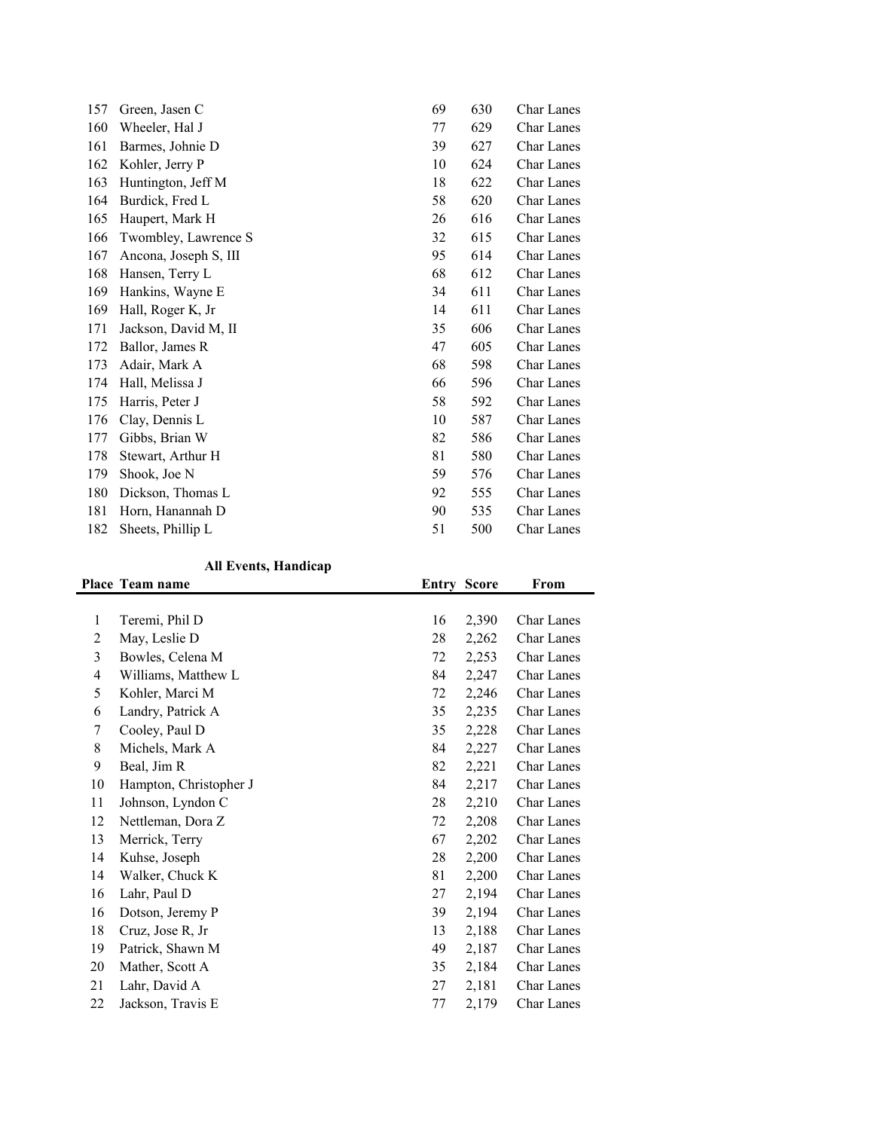| 157 | Green, Jasen C        | 69 | 630 | Char Lanes        |
|-----|-----------------------|----|-----|-------------------|
| 160 | Wheeler, Hal J        | 77 | 629 | <b>Char Lanes</b> |
| 161 | Barmes, Johnie D      | 39 | 627 | Char Lanes        |
| 162 | Kohler, Jerry P       | 10 | 624 | <b>Char Lanes</b> |
| 163 | Huntington, Jeff M    | 18 | 622 | Char Lanes        |
| 164 | Burdick, Fred L       | 58 | 620 | <b>Char Lanes</b> |
| 165 | Haupert, Mark H       | 26 | 616 | Char Lanes        |
| 166 | Twombley, Lawrence S  | 32 | 615 | <b>Char Lanes</b> |
| 167 | Ancona, Joseph S, III | 95 | 614 | <b>Char Lanes</b> |
| 168 | Hansen, Terry L       | 68 | 612 | <b>Char Lanes</b> |
| 169 | Hankins, Wayne E      | 34 | 611 | Char Lanes        |
| 169 | Hall, Roger K, Jr     | 14 | 611 | Char Lanes        |
| 171 | Jackson, David M, II  | 35 | 606 | Char Lanes        |
| 172 | Ballor, James R       | 47 | 605 | Char Lanes        |
| 173 | Adair, Mark A         | 68 | 598 | <b>Char Lanes</b> |
| 174 | Hall, Melissa J       | 66 | 596 | <b>Char Lanes</b> |
| 175 | Harris, Peter J       | 58 | 592 | <b>Char Lanes</b> |
| 176 | Clay, Dennis L        | 10 | 587 | <b>Char Lanes</b> |
| 177 | Gibbs, Brian W        | 82 | 586 | Char Lanes        |
| 178 | Stewart, Arthur H     | 81 | 580 | Char Lanes        |
| 179 | Shook, Joe N          | 59 | 576 | Char Lanes        |
| 180 | Dickson, Thomas L     | 92 | 555 | <b>Char Lanes</b> |
| 181 | Horn, Hanannah D      | 90 | 535 | Char Lanes        |
| 182 | Sheets, Phillip L     | 51 | 500 | Char Lanes        |
|     |                       |    |     |                   |

## **All Events, Handicap**

|    | Place Team name        |    | <b>Entry Score</b> | From              |
|----|------------------------|----|--------------------|-------------------|
|    |                        |    |                    |                   |
| 1  | Teremi, Phil D         | 16 | 2,390              | <b>Char Lanes</b> |
| 2  | May, Leslie D          | 28 | 2,262              | <b>Char Lanes</b> |
| 3  | Bowles, Celena M       | 72 | 2,253              | <b>Char Lanes</b> |
| 4  | Williams, Matthew L    | 84 | 2,247              | Char Lanes        |
| 5  | Kohler, Marci M        | 72 | 2,246              | <b>Char Lanes</b> |
| 6  | Landry, Patrick A      | 35 | 2,235              | <b>Char Lanes</b> |
| 7  | Cooley, Paul D         | 35 | 2,228              | <b>Char Lanes</b> |
| 8  | Michels, Mark A        | 84 | 2,227              | <b>Char Lanes</b> |
| 9  | Beal, Jim R            | 82 | 2,221              | <b>Char Lanes</b> |
| 10 | Hampton, Christopher J | 84 | 2,217              | <b>Char Lanes</b> |
| 11 | Johnson, Lyndon C      | 28 | 2,210              | <b>Char Lanes</b> |
| 12 | Nettleman, Dora Z      | 72 | 2,208              | <b>Char Lanes</b> |
| 13 | Merrick, Terry         | 67 | 2,202              | <b>Char Lanes</b> |
| 14 | Kuhse, Joseph          | 28 | 2,200              | <b>Char Lanes</b> |
| 14 | Walker, Chuck K        | 81 | 2,200              | <b>Char Lanes</b> |
| 16 | Lahr, Paul D           | 27 | 2,194              | <b>Char Lanes</b> |
| 16 | Dotson, Jeremy P       | 39 | 2,194              | <b>Char Lanes</b> |
| 18 | Cruz, Jose R, Jr       | 13 | 2,188              | <b>Char Lanes</b> |
| 19 | Patrick, Shawn M       | 49 | 2,187              | <b>Char Lanes</b> |
| 20 | Mather, Scott A        | 35 | 2,184              | <b>Char Lanes</b> |
| 21 | Lahr, David A          | 27 | 2,181              | <b>Char Lanes</b> |
| 22 | Jackson, Travis E      | 77 | 2,179              | Char Lanes        |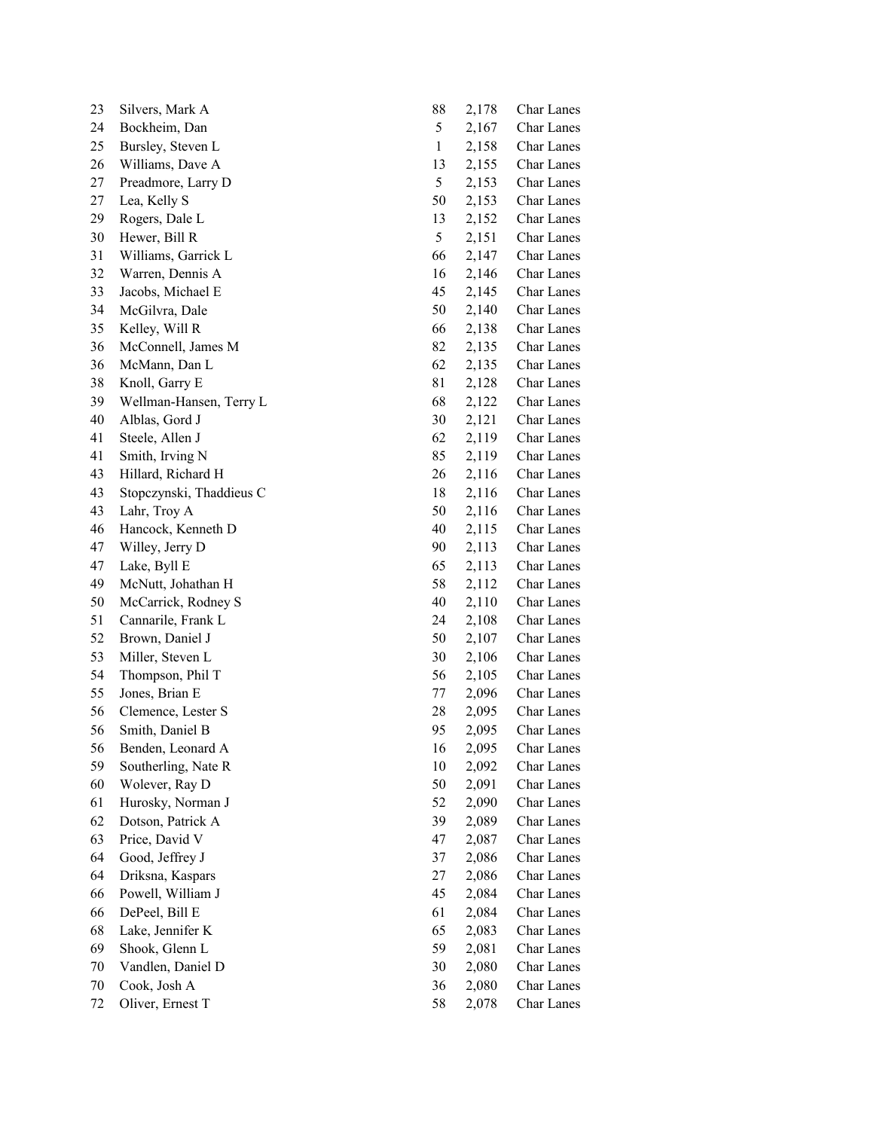| 23 | Silvers, Mark A          | 88           | 2,178 | Char Lanes        |
|----|--------------------------|--------------|-------|-------------------|
| 24 | Bockheim, Dan            | 5            | 2,167 | Char Lanes        |
| 25 | Bursley, Steven L        | $\mathbf{1}$ | 2,158 | Char Lanes        |
| 26 | Williams, Dave A         | 13           | 2,155 | Char Lanes        |
| 27 | Preadmore, Larry D       | 5            | 2,153 | Char Lanes        |
| 27 | Lea, Kelly S             | 50           | 2,153 | Char Lanes        |
| 29 | Rogers, Dale L           | 13           | 2,152 | Char Lanes        |
| 30 | Hewer, Bill R            | 5            | 2,151 | Char Lanes        |
| 31 | Williams, Garrick L      | 66           | 2,147 | Char Lanes        |
| 32 | Warren, Dennis A         | 16           | 2,146 | Char Lanes        |
| 33 | Jacobs, Michael E        | 45           | 2,145 | <b>Char Lanes</b> |
| 34 | McGilvra, Dale           | 50           | 2,140 | Char Lanes        |
| 35 | Kelley, Will R           | 66           | 2,138 | Char Lanes        |
| 36 | McConnell, James M       | 82           | 2,135 | Char Lanes        |
| 36 | McMann, Dan L            | 62           | 2,135 | Char Lanes        |
| 38 | Knoll, Garry E           | 81           | 2,128 | Char Lanes        |
| 39 | Wellman-Hansen, Terry L  | 68           | 2,122 | Char Lanes        |
| 40 | Alblas, Gord J           | 30           | 2,121 | Char Lanes        |
| 41 | Steele, Allen J          | 62           | 2,119 | Char Lanes        |
| 41 | Smith, Irving N          | 85           | 2,119 | Char Lanes        |
| 43 | Hillard, Richard H       | 26           | 2,116 | Char Lanes        |
| 43 | Stopczynski, Thaddieus C | 18           | 2,116 | Char Lanes        |
| 43 | Lahr, Troy A             | 50           | 2,116 | Char Lanes        |
| 46 | Hancock, Kenneth D       | 40           | 2,115 | Char Lanes        |
| 47 | Willey, Jerry D          | 90           | 2,113 | Char Lanes        |
| 47 | Lake, Byll E             | 65           | 2,113 | Char Lanes        |
| 49 | McNutt, Johathan H       | 58           | 2,112 | Char Lanes        |
| 50 | McCarrick, Rodney S      | 40           | 2,110 | Char Lanes        |
| 51 | Cannarile, Frank L       | 24           | 2,108 | Char Lanes        |
| 52 | Brown, Daniel J          | 50           | 2,107 | Char Lanes        |
| 53 | Miller, Steven L         | 30           | 2,106 | Char Lanes        |
| 54 | Thompson, Phil T         | 56           | 2,105 | <b>Char Lanes</b> |
| 55 | Jones, Brian E           | 77           | 2,096 | <b>Char Lanes</b> |
| 56 | Clemence, Lester S       | 28           | 2,095 | Char Lanes        |
| 56 | Smith, Daniel B          | 95           | 2,095 | Char Lanes        |
| 56 | Benden, Leonard A        | 16           | 2,095 | Char Lanes        |
| 59 | Southerling, Nate R      | 10           | 2,092 | Char Lanes        |
| 60 | Wolever, Ray D           | 50           | 2,091 | Char Lanes        |
| 61 | Hurosky, Norman J        | 52           | 2,090 | Char Lanes        |
| 62 | Dotson, Patrick A        | 39           | 2,089 | Char Lanes        |
| 63 | Price, David V           | 47           | 2,087 | Char Lanes        |
| 64 | Good, Jeffrey J          | 37           | 2,086 | Char Lanes        |
| 64 | Driksna, Kaspars         | 27           | 2,086 | Char Lanes        |
| 66 | Powell, William J        | 45           | 2,084 | Char Lanes        |
| 66 | DePeel, Bill E           | 61           | 2,084 | Char Lanes        |
| 68 | Lake, Jennifer K         | 65           | 2,083 | Char Lanes        |
| 69 | Shook, Glenn L           | 59           | 2,081 | Char Lanes        |
| 70 | Vandlen, Daniel D        | 30           | 2,080 | Char Lanes        |
| 70 | Cook, Josh A             | 36           | 2,080 | Char Lanes        |
| 72 | Oliver, Ernest T         | 58           | 2,078 | Char Lanes        |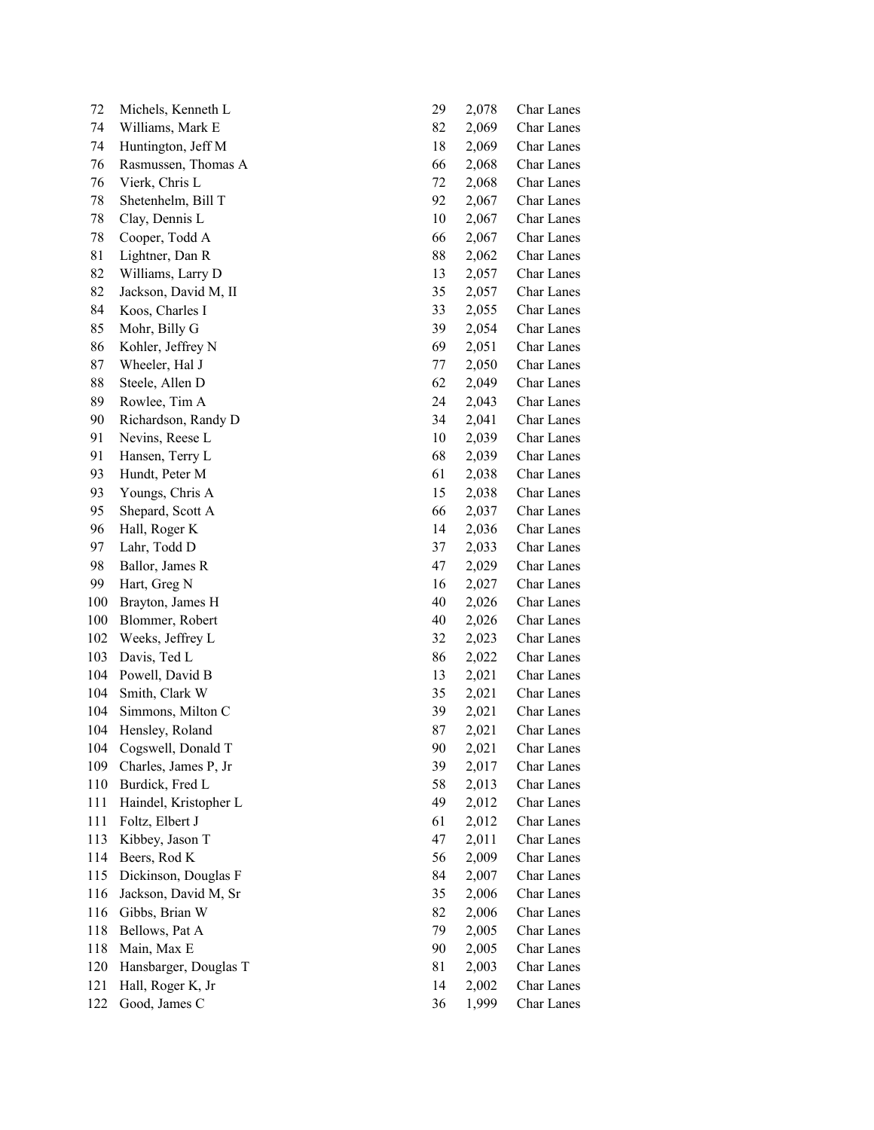| 72  | Michels, Kenneth L    | 29 | 2,078 | <b>Char Lanes</b> |
|-----|-----------------------|----|-------|-------------------|
| 74  | Williams, Mark E      | 82 | 2,069 | Char Lanes        |
| 74  | Huntington, Jeff M    | 18 | 2,069 | Char Lanes        |
| 76  | Rasmussen, Thomas A   | 66 | 2,068 | Char Lanes        |
| 76  | Vierk, Chris L        | 72 | 2,068 | Char Lanes        |
| 78  | Shetenhelm, Bill T    | 92 | 2,067 | Char Lanes        |
| 78  | Clay, Dennis L        | 10 | 2,067 | Char Lanes        |
| 78  | Cooper, Todd A        | 66 | 2,067 | Char Lanes        |
| 81  | Lightner, Dan R       | 88 | 2,062 | Char Lanes        |
| 82  | Williams, Larry D     | 13 | 2,057 | Char Lanes        |
| 82  | Jackson, David M, II  | 35 | 2,057 | Char Lanes        |
| 84  | Koos, Charles I       | 33 | 2,055 | Char Lanes        |
| 85  | Mohr, Billy G         | 39 | 2,054 | Char Lanes        |
| 86  | Kohler, Jeffrey N     | 69 | 2,051 | Char Lanes        |
| 87  | Wheeler, Hal J        | 77 | 2,050 | Char Lanes        |
| 88  | Steele, Allen D       | 62 | 2,049 | Char Lanes        |
| 89  | Rowlee, Tim A         | 24 | 2,043 | Char Lanes        |
| 90  | Richardson, Randy D   | 34 | 2,041 | Char Lanes        |
| 91  | Nevins, Reese L       | 10 | 2,039 | Char Lanes        |
| 91  | Hansen, Terry L       | 68 | 2,039 | Char Lanes        |
| 93  | Hundt, Peter M        | 61 | 2,038 | Char Lanes        |
| 93  | Youngs, Chris A       | 15 | 2,038 | Char Lanes        |
| 95  | Shepard, Scott A      | 66 | 2,037 | Char Lanes        |
| 96  | Hall, Roger K         | 14 | 2,036 | Char Lanes        |
| 97  | Lahr, Todd D          | 37 | 2,033 | Char Lanes        |
| 98  | Ballor, James R       | 47 | 2,029 | Char Lanes        |
| 99  | Hart, Greg N          | 16 | 2,027 | Char Lanes        |
| 100 | Brayton, James H      | 40 | 2,026 | Char Lanes        |
| 100 | Blommer, Robert       | 40 | 2,026 | Char Lanes        |
| 102 | Weeks, Jeffrey L      | 32 | 2,023 | Char Lanes        |
| 103 | Davis, Ted L          | 86 | 2,022 | Char Lanes        |
| 104 | Powell, David B       | 13 | 2,021 | Char Lanes        |
| 104 | Smith, Clark W        | 35 | 2,021 | Char Lanes        |
| 104 | Simmons, Milton C     | 39 | 2,021 | Char Lanes        |
| 104 | Hensley, Roland       | 87 | 2,021 | Char Lanes        |
| 104 | Cogswell, Donald T    | 90 | 2,021 | Char Lanes        |
| 109 | Charles, James P, Jr  | 39 | 2,017 | Char Lanes        |
| 110 | Burdick, Fred L       | 58 | 2,013 | Char Lanes        |
| 111 | Haindel, Kristopher L | 49 | 2,012 | Char Lanes        |
| 111 | Foltz, Elbert J       | 61 | 2,012 | Char Lanes        |
| 113 | Kibbey, Jason T       | 47 | 2,011 | Char Lanes        |
| 114 | Beers, Rod K          | 56 | 2,009 | Char Lanes        |
| 115 | Dickinson, Douglas F  | 84 | 2,007 | Char Lanes        |
| 116 | Jackson, David M, Sr  | 35 | 2,006 | Char Lanes        |
| 116 | Gibbs, Brian W        | 82 | 2,006 | Char Lanes        |
| 118 | Bellows, Pat A        | 79 | 2,005 | Char Lanes        |
| 118 | Main, Max E           | 90 | 2,005 | Char Lanes        |
| 120 | Hansbarger, Douglas T | 81 | 2,003 | Char Lanes        |
| 121 | Hall, Roger K, Jr     | 14 | 2,002 | Char Lanes        |
| 122 | Good, James C         | 36 | 1,999 | Char Lanes        |
|     |                       |    |       |                   |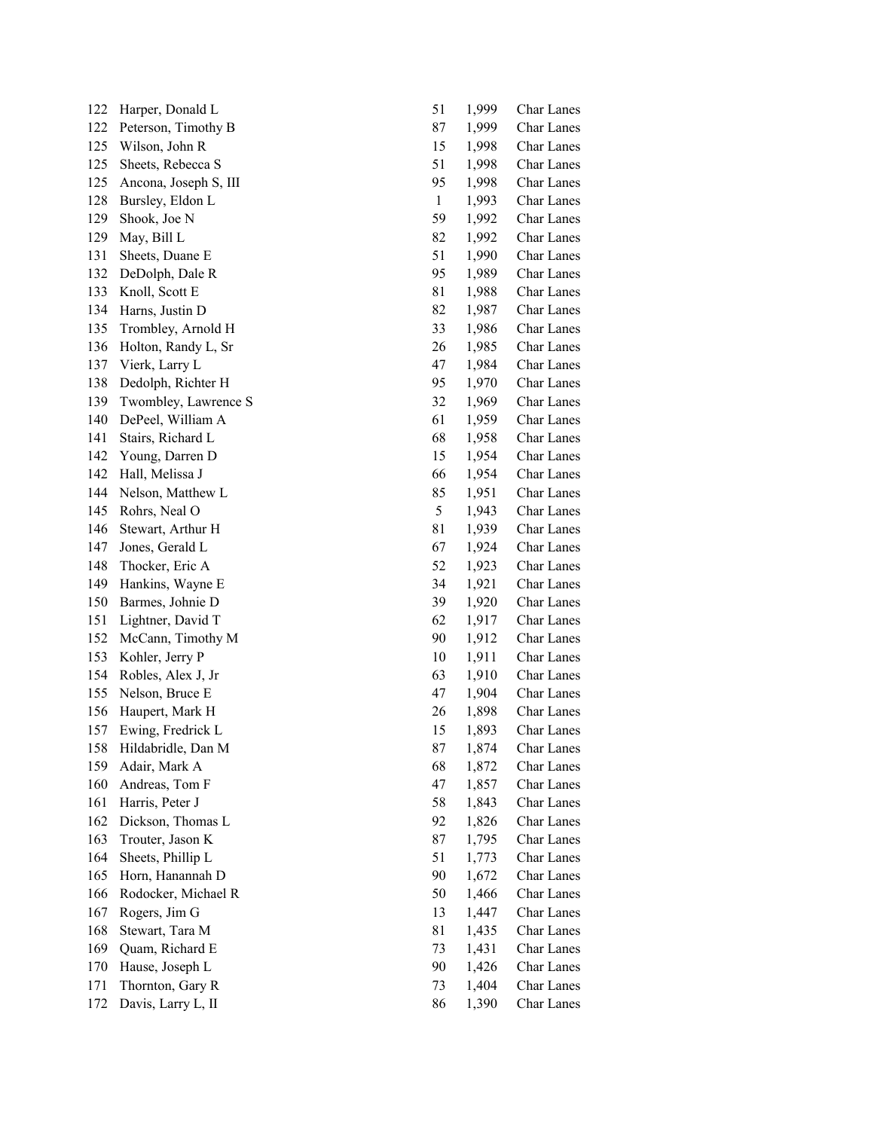| 122 | Harper, Donald L      | 51           | 1,999 | Char Lanes        |
|-----|-----------------------|--------------|-------|-------------------|
| 122 | Peterson, Timothy B   | 87           | 1,999 | Char Lanes        |
| 125 | Wilson, John R        | 15           | 1,998 | Char Lanes        |
| 125 | Sheets, Rebecca S     | 51           | 1,998 | Char Lanes        |
| 125 | Ancona, Joseph S, III | 95           | 1,998 | <b>Char Lanes</b> |
| 128 | Bursley, Eldon L      | $\mathbf{1}$ | 1,993 | Char Lanes        |
| 129 | Shook, Joe N          | 59           | 1,992 | Char Lanes        |
| 129 | May, Bill L           | 82           | 1,992 | Char Lanes        |
| 131 | Sheets, Duane E       | 51           | 1,990 | Char Lanes        |
| 132 | DeDolph, Dale R       | 95           | 1,989 | Char Lanes        |
| 133 | Knoll, Scott E        | 81           | 1,988 | Char Lanes        |
| 134 | Harns, Justin D       | 82           | 1,987 | Char Lanes        |
| 135 | Trombley, Arnold H    | 33           | 1,986 | Char Lanes        |
| 136 | Holton, Randy L, Sr   | 26           | 1,985 | Char Lanes        |
| 137 | Vierk, Larry L        | 47           | 1,984 | Char Lanes        |
| 138 | Dedolph, Richter H    | 95           | 1,970 | Char Lanes        |
| 139 | Twombley, Lawrence S  | 32           | 1,969 | <b>Char Lanes</b> |
| 140 | DePeel, William A     | 61           | 1,959 | Char Lanes        |
| 141 | Stairs, Richard L     | 68           | 1,958 | Char Lanes        |
| 142 | Young, Darren D       | 15           | 1,954 | Char Lanes        |
| 142 | Hall, Melissa J       | 66           | 1,954 | <b>Char Lanes</b> |
| 144 | Nelson, Matthew L     | 85           | 1,951 | <b>Char Lanes</b> |
| 145 | Rohrs, Neal O         | 5            | 1,943 | Char Lanes        |
| 146 | Stewart, Arthur H     | 81           | 1,939 | Char Lanes        |
| 147 | Jones, Gerald L       | 67           | 1,924 | Char Lanes        |
| 148 | Thocker, Eric A       | 52           | 1,923 | Char Lanes        |
| 149 | Hankins, Wayne E      | 34           | 1,921 | Char Lanes        |
| 150 | Barmes, Johnie D      | 39           | 1,920 | Char Lanes        |
| 151 | Lightner, David T     | 62           | 1,917 | Char Lanes        |
| 152 | McCann, Timothy M     | 90           | 1,912 | Char Lanes        |
| 153 | Kohler, Jerry P       | 10           | 1,911 | Char Lanes        |
| 154 | Robles, Alex J, Jr    | 63           | 1,910 | Char Lanes        |
| 155 | Nelson, Bruce E       | 47           | 1,904 | <b>Char Lanes</b> |
| 156 | Haupert, Mark H       | 26           | 1,898 | Char Lanes        |
| 157 | Ewing, Fredrick L     | 15           | 1,893 | Char Lanes        |
| 158 | Hildabridle, Dan M    | 87           | 1,874 | Char Lanes        |
| 159 | Adair, Mark A         | 68           | 1,872 | Char Lanes        |
| 160 | Andreas, Tom F        | 47           | 1,857 | Char Lanes        |
| 161 | Harris, Peter J       | 58           | 1,843 | Char Lanes        |
| 162 | Dickson, Thomas L     | 92           | 1,826 | Char Lanes        |
| 163 | Trouter, Jason K      | 87           | 1,795 | Char Lanes        |
| 164 | Sheets, Phillip L     | 51           | 1,773 | Char Lanes        |
| 165 | Horn, Hanannah D      | 90           | 1,672 | Char Lanes        |
| 166 | Rodocker, Michael R   | 50           | 1,466 | Char Lanes        |
| 167 | Rogers, Jim G         | 13           | 1,447 | Char Lanes        |
| 168 | Stewart, Tara M       | 81           | 1,435 | Char Lanes        |
| 169 | Quam, Richard E       | 73           | 1,431 | Char Lanes        |
| 170 | Hause, Joseph L       | 90           | 1,426 | Char Lanes        |
| 171 | Thornton, Gary R      | 73           | 1,404 | Char Lanes        |
| 172 | Davis, Larry L, II    | 86           | 1,390 | Char Lanes        |
|     |                       |              |       |                   |